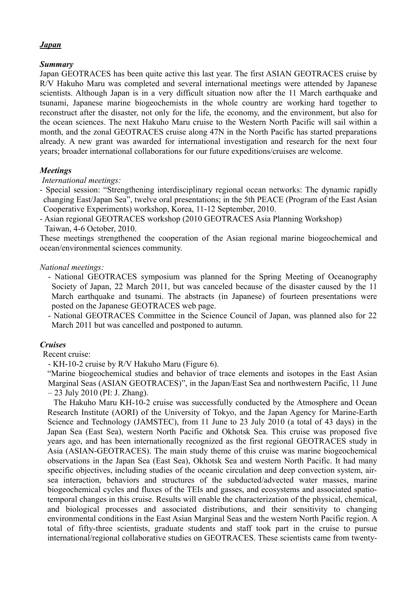## *Japan*

## *Summary*

Japan GEOTRACES has been quite active this last year. The first ASIAN GEOTRACES cruise by R/V Hakuho Maru was completed and several international meetings were attended by Japanese scientists. Although Japan is in a very difficult situation now after the 11 March earthquake and tsunami, Japanese marine biogeochemists in the whole country are working hard together to reconstruct after the disaster, not only for the life, the economy, and the environment, but also for the ocean sciences. The next Hakuho Maru cruise to the Western North Pacific will sail within a month, and the zonal GEOTRACES cruise along 47N in the North Pacific has started preparations already. A new grant was awarded for international investigation and research for the next four years; broader international collaborations for our future expeditions/cruises are welcome.

## *Meetings*

### *International meetings:*

- Special session: "Strengthening interdisciplinary regional ocean networks: The dynamic rapidly changing East/Japan Sea", twelve oral presentations; in the 5th PEACE (Program of the East Asian Cooperative Experiments) workshop, Korea, 11-12 September, 2010.
- Asian regional GEOTRACES workshop (2010 GEOTRACES Asia Planning Workshop) Taiwan, 4-6 October, 2010.

These meetings strengthened the cooperation of the Asian regional marine biogeochemical and ocean/environmental sciences community.

#### *National meetings:*

- National GEOTRACES symposium was planned for the Spring Meeting of Oceanography Society of Japan, 22 March 2011, but was canceled because of the disaster caused by the 11 March earthquake and tsunami. The abstracts (in Japanese) of fourteen presentations were posted on the Japanese GEOTRACES web page.
- National GEOTRACES Committee in the Science Council of Japan, was planned also for 22 March 2011 but was cancelled and postponed to autumn.

#### *Cruises*

Recent cruise:

- KH-10-2 cruise by R/V Hakuho Maru (Figure 6).

"Marine biogeochemical studies and behavior of trace elements and isotopes in the East Asian Marginal Seas (ASIAN GEOTRACES)", in the Japan/East Sea and northwestern Pacific, 11 June – 23 July 2010 (PI: J. Zhang).

The Hakuho Maru KH-10-2 cruise was successfully conducted by the Atmosphere and Ocean Research Institute (AORI) of the University of Tokyo, and the Japan Agency for Marine-Earth Science and Technology (JAMSTEC), from 11 June to 23 July 2010 (a total of 43 days) in the Japan Sea (East Sea), western North Pacific and Okhotsk Sea. This cruise was proposed five years ago, and has been internationally recognized as the first regional GEOTRACES study in Asia (ASIAN-GEOTRACES). The main study theme of this cruise was marine biogeochemical observations in the Japan Sea (East Sea), Okhotsk Sea and western North Pacific. It had many specific objectives, including studies of the oceanic circulation and deep convection system, airsea interaction, behaviors and structures of the subducted/advected water masses, marine biogeochemical cycles and fluxes of the TEIs and gasses, and ecosystems and associated spatiotemporal changes in this cruise. Results will enable the characterization of the physical, chemical, and biological processes and associated distributions, and their sensitivity to changing environmental conditions in the East Asian Marginal Seas and the western North Pacific region. A total of fifty-three scientists, graduate students and staff took part in the cruise to pursue international/regional collaborative studies on GEOTRACES. These scientists came from twenty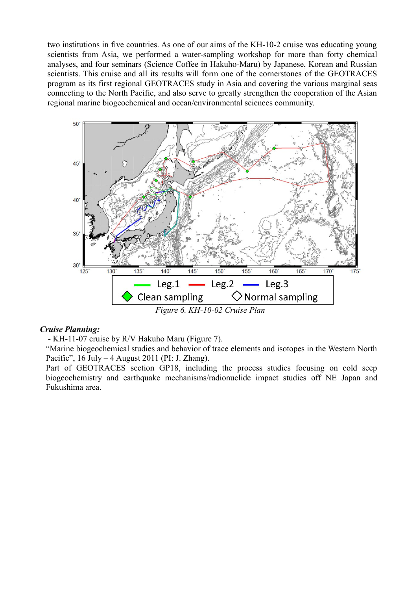two institutions in five countries. As one of our aims of the KH-10-2 cruise was educating young scientists from Asia, we performed a water-sampling workshop for more than forty chemical analyses, and four seminars (Science Coffee in Hakuho-Maru) by Japanese, Korean and Russian scientists. This cruise and all its results will form one of the cornerstones of the GEOTRACES program as its first regional GEOTRACES study in Asia and covering the various marginal seas connecting to the North Pacific, and also serve to greatly strengthen the cooperation of the Asian regional marine biogeochemical and ocean/environmental sciences community.



#### *Cruise Planning:*

- KH-11-07 cruise by R/V Hakuho Maru (Figure 7).

"Marine biogeochemical studies and behavior of trace elements and isotopes in the Western North Pacific", 16 July – 4 August 2011 (PI: J. Zhang).

Part of GEOTRACES section GP18, including the process studies focusing on cold seep biogeochemistry and earthquake mechanisms/radionuclide impact studies off NE Japan and Fukushima area.